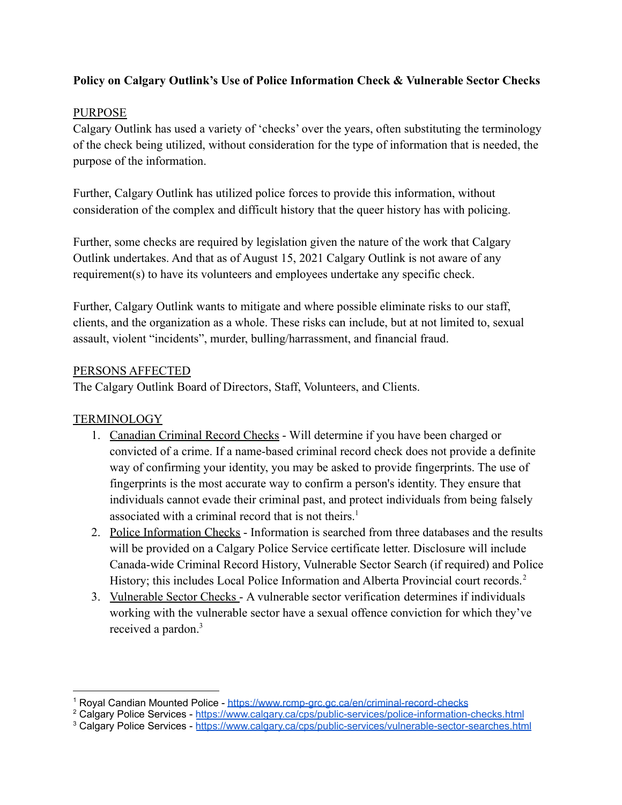## **Policy on Calgary Outlink's Use of Police Information Check & Vulnerable Sector Checks**

### PURPOSE

Calgary Outlink has used a variety of 'checks' over the years, often substituting the terminology of the check being utilized, without consideration for the type of information that is needed, the purpose of the information.

Further, Calgary Outlink has utilized police forces to provide this information, without consideration of the complex and difficult history that the queer history has with policing.

Further, some checks are required by legislation given the nature of the work that Calgary Outlink undertakes. And that as of August 15, 2021 Calgary Outlink is not aware of any requirement(s) to have its volunteers and employees undertake any specific check.

Further, Calgary Outlink wants to mitigate and where possible eliminate risks to our staff, clients, and the organization as a whole. These risks can include, but at not limited to, sexual assault, violent "incidents", murder, bulling/harrassment, and financial fraud.

#### PERSONS AFFECTED

The Calgary Outlink Board of Directors, Staff, Volunteers, and Clients.

### **TERMINOLOGY**

- 1. Canadian Criminal Record Checks Will determine if you have been charged or convicted of a crime. If a name-based criminal record check does not provide a definite way of confirming your identity, you may be asked to provide fingerprints. The use of fingerprints is the most accurate way to confirm a person's identity. They ensure that individuals cannot evade their criminal past, and protect individuals from being falsely associated with a criminal record that is not theirs.<sup>1</sup>
- 2. Police Information Checks Information is searched from three databases and the results will be provided on a Calgary Police Service certificate letter. Disclosure will include Canada-wide Criminal Record History, Vulnerable Sector Search (if required) and Police History; this includes Local Police Information and Alberta Provincial court records.<sup>2</sup>
- 3. Vulnerable Sector Checks A vulnerable sector verification determines if individuals working with the vulnerable sector have a sexual offence conviction for which they've received a pardon.<sup>3</sup>

<sup>1</sup> Royal Candian Mounted Police - <https://www.rcmp-grc.gc.ca/en/criminal-record-checks>

<sup>&</sup>lt;sup>2</sup> Calgary Police Services - <https://www.calgary.ca/cps/public-services/police-information-checks.html>

<sup>&</sup>lt;sup>3</sup> Calgary Police Services - <https://www.calgary.ca/cps/public-services/vulnerable-sector-searches.html>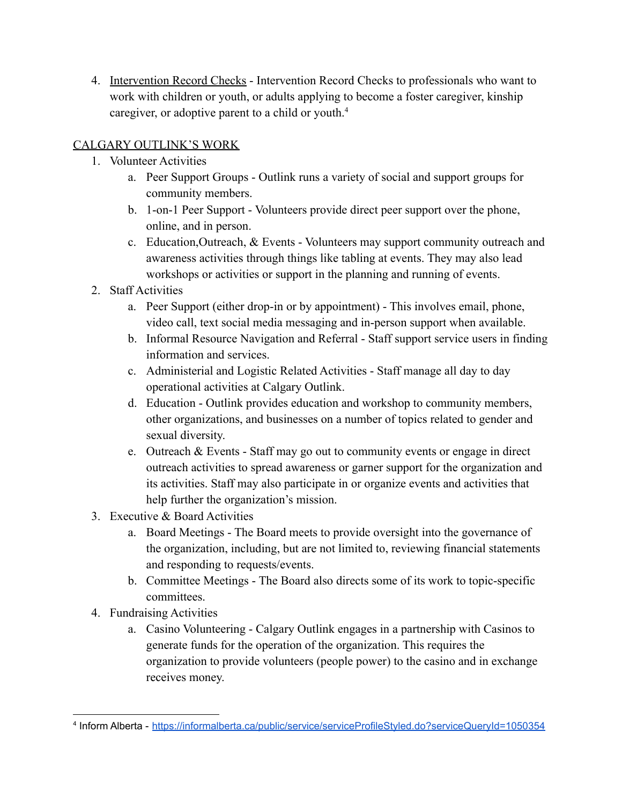4. Intervention Record Checks - Intervention Record Checks to professionals who want to work with children or youth, or adults applying to become a foster caregiver, kinship caregiver, or adoptive parent to a child or youth.<sup>4</sup>

# CALGARY OUTLINK'S WORK

- 1. Volunteer Activities
	- a. Peer Support Groups Outlink runs a variety of social and support groups for community members.
	- b. 1-on-1 Peer Support Volunteers provide direct peer support over the phone, online, and in person.
	- c. Education,Outreach, & Events Volunteers may support community outreach and awareness activities through things like tabling at events. They may also lead workshops or activities or support in the planning and running of events.
- 2. Staff Activities
	- a. Peer Support (either drop-in or by appointment) This involves email, phone, video call, text social media messaging and in-person support when available.
	- b. Informal Resource Navigation and Referral Staff support service users in finding information and services.
	- c. Administerial and Logistic Related Activities Staff manage all day to day operational activities at Calgary Outlink.
	- d. Education Outlink provides education and workshop to community members, other organizations, and businesses on a number of topics related to gender and sexual diversity.
	- e. Outreach & Events Staff may go out to community events or engage in direct outreach activities to spread awareness or garner support for the organization and its activities. Staff may also participate in or organize events and activities that help further the organization's mission.
- 3. Executive & Board Activities
	- a. Board Meetings The Board meets to provide oversight into the governance of the organization, including, but are not limited to, reviewing financial statements and responding to requests/events.
	- b. Committee Meetings The Board also directs some of its work to topic-specific committees.
- 4. Fundraising Activities
	- a. Casino Volunteering Calgary Outlink engages in a partnership with Casinos to generate funds for the operation of the organization. This requires the organization to provide volunteers (people power) to the casino and in exchange receives money.

<sup>4</sup> Inform Alberta - <https://informalberta.ca/public/service/serviceProfileStyled.do?serviceQueryId=1050354>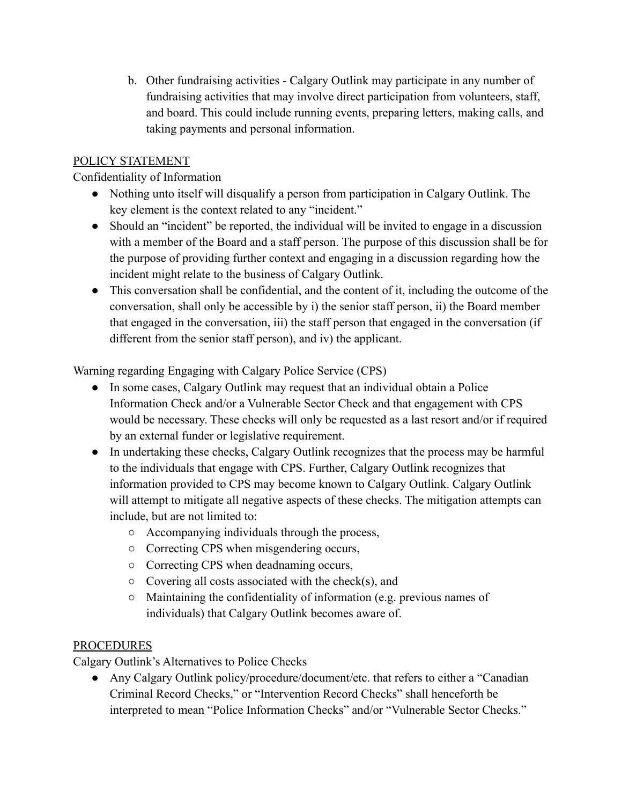b. Other fundraising activities - Calgary Outlink may participate in any number of fundraising activities that may involve direct participation from volunteers, staff, and board. This could include running events, preparing letters, making calls, and taking payments and personal information.

## POLICY STATEMENT

### Confidentiality of Information

- Nothing unto itself will disqualify a person from participation in Calgary Outlink. The key element is the context related to any "incident."
- Should an "incident" be reported, the individual will be invited to engage in a discussion with a member of the Board and a staff person. The purpose of this discussion shall be for the purpose of providing further context and engaging in a discussion regarding how the incident might relate to the business of Calgary Outlink.
- This conversation shall be confidential, and the content of it, including the outcome of the conversation, shall only be accessible by i) the senior staff person, ii) the Board member that engaged in the conversation, iii) the staff person that engaged in the conversation (if different from the senior staff person), and iv) the applicant.

Warning regarding Engaging with Calgary Police Service (CPS)

- In some cases, Calgary Outlink may request that an individual obtain a Police Information Check and/or a Vulnerable Sector Check and that engagement with CPS would be necessary. These checks will only be requested as a last resort and/or if required by an external funder or legislative requirement.
- In undertaking these checks, Calgary Outlink recognizes that the process may be harmful to the individuals that engage with CPS. Further, Calgary Outlink recognizes that information provided to CPS may become known to Calgary Outlink. Calgary Outlink will attempt to mitigate all negative aspects of these checks. The mitigation attempts can include, but are not limited to:
	- Accompanying individuals through the process,
	- Correcting CPS when misgendering occurs,
	- Correcting CPS when deadnaming occurs,
	- $\circ$  Covering all costs associated with the check(s), and
	- Maintaining the confidentiality of information (e.g. previous names of individuals) that Calgary Outlink becomes aware of.

### **PROCEDURES**

Calgary Outlink's Alternatives to Police Checks

• Any Calgary Outlink policy/procedure/document/etc. that refers to either a "Canadian" Criminal Record Checks," or "Intervention Record Checks" shall henceforth be interpreted to mean "Police Information Checks" and/or "Vulnerable Sector Checks."